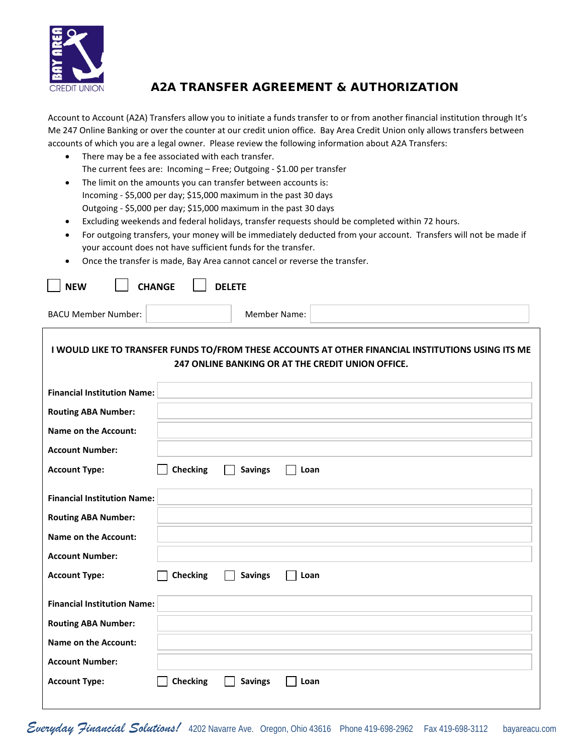

## **CREDIT UNION CRACK AND A2A TRANSFER AGREEMENT & AUTHORIZATION**

Account to Account (A2A) Transfers allow you to initiate a funds transfer to or from another financial institution through It's Me 247 Online Banking or over the counter at our credit union office. Bay Area Credit Union only allows transfers between accounts of which you are a legal owner. Please review the following information about A2A Transfers:

- There may be a fee associated with each transfer. The current fees are: Incoming – Free; Outgoing - \$1.00 per transfer
- The limit on the amounts you can transfer between accounts is: Incoming - \$5,000 per day; \$15,000 maximum in the past 30 days Outgoing - \$5,000 per day; \$15,000 maximum in the past 30 days
- Excluding weekends and federal holidays, transfer requests should be completed within 72 hours.
- For outgoing transfers, your money will be immediately deducted from your account. Transfers will not be made if your account does not have sufficient funds for the transfer.
- Once the transfer is made, Bay Area cannot cancel or reverse the transfer.

| <b>NEW</b><br><b>CHANGE</b><br><b>DELETE</b>                                                                                                            |
|---------------------------------------------------------------------------------------------------------------------------------------------------------|
| <b>Member Name:</b><br><b>BACU Member Number:</b>                                                                                                       |
| I WOULD LIKE TO TRANSFER FUNDS TO/FROM THESE ACCOUNTS AT OTHER FINANCIAL INSTITUTIONS USING ITS ME<br>247 ONLINE BANKING OR AT THE CREDIT UNION OFFICE. |
| <b>Financial Institution Name:</b>                                                                                                                      |
| <b>Routing ABA Number:</b>                                                                                                                              |
| <b>Name on the Account:</b>                                                                                                                             |
| <b>Account Number:</b>                                                                                                                                  |
| <b>Checking</b><br><b>Account Type:</b><br><b>Savings</b><br>Loan                                                                                       |
| <b>Financial Institution Name:</b><br><b>Routing ABA Number:</b><br><b>Name on the Account:</b><br><b>Account Number:</b>                               |
| <b>Checking</b><br><b>Account Type:</b><br><b>Savings</b><br>Loan                                                                                       |
| <b>Financial Institution Name:</b>                                                                                                                      |
| <b>Routing ABA Number:</b>                                                                                                                              |
| <b>Name on the Account:</b>                                                                                                                             |
| <b>Account Number:</b>                                                                                                                                  |
| <b>Checking</b><br><b>Account Type:</b><br><b>Savings</b><br>Loan                                                                                       |
|                                                                                                                                                         |